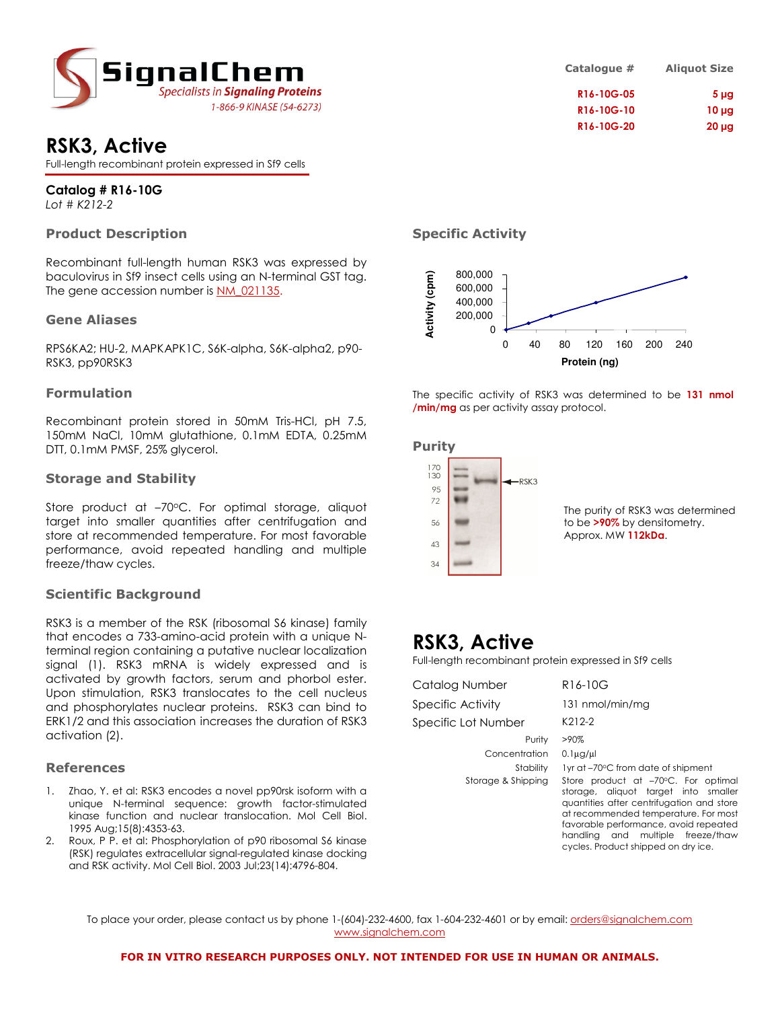

## RSK3, Active

Full-length recombinant protein expressed in Sf9 cells

### Catalog # R16-10G

Lot # K212-2

### Product Description

Recombinant full-length human RSK3 was expressed by baculovirus in Sf9 insect cells using an N-terminal GST tag. The gene accession number is NM\_021135.

### Gene Aliases

RPS6KA2; HU-2, MAPKAPK1C, S6K-alpha, S6K-alpha2, p90- RSK3, pp90RSK3

### Formulation

Recombinant protein stored in 50mM Tris-HCl, pH 7.5, 150mM NaCl, 10mM glutathione, 0.1mM EDTA, 0.25mM DTT, 0.1mM PMSF, 25% glycerol.

#### Storage and Stability

Store product at  $-70^{\circ}$ C. For optimal storage, aliquot target into smaller quantities after centrifugation and store at recommended temperature. For most favorable performance, avoid repeated handling and multiple freeze/thaw cycles.

### Scientific Background

RSK3 is a member of the RSK (ribosomal S6 kinase) family that encodes a 733-amino-acid protein with a unique Nterminal region containing a putative nuclear localization signal (1). RSK3 mRNA is widely expressed and is activated by growth factors, serum and phorbol ester. Upon stimulation, RSK3 translocates to the cell nucleus and phosphorylates nuclear proteins. RSK3 can bind to ERK1/2 and this association increases the duration of RSK3 activation (2).

### References

- 1. Zhao, Y. et al: RSK3 encodes a novel pp90rsk isoform with a unique N-terminal sequence: growth factor-stimulated kinase function and nuclear translocation. Mol Cell Biol. 1995 Aug;15(8):4353-63.
- 2. Roux, P P. et al: Phosphorylation of p90 ribosomal S6 kinase (RSK) regulates extracellular signal-regulated kinase docking and RSK activity. Mol Cell Biol. 2003 Jul;23(14):4796-804.

| <b>Aliquot Size</b> | Catalogue # |
|---------------------|-------------|
| $5 \mu g$           | R16-10G-05  |
| $10 \mu g$          | R16-10G-10  |
| $20 \mu g$          | R16-10G-20  |

### Specific Activity



The specific activity of RSK3 was determined to be 131 nmol /min/mg as per activity assay protocol.

### Purity



### RSK3, Active

Full-length recombinant protein expressed in Sf9 cells

| Catalog Number      | R16-10G                                                                                                                                                                                                                                                                               |
|---------------------|---------------------------------------------------------------------------------------------------------------------------------------------------------------------------------------------------------------------------------------------------------------------------------------|
| Specific Activity   | 131 nmol/min/mg                                                                                                                                                                                                                                                                       |
| Specific Lot Number | K212-2                                                                                                                                                                                                                                                                                |
| Purity              | $>90\%$                                                                                                                                                                                                                                                                               |
| Concentration       | $0.1\mu$ g/ $\mu$                                                                                                                                                                                                                                                                     |
| Stability           | 1yr at -70°C from date of shipment                                                                                                                                                                                                                                                    |
| Storage & Shipping  | Store product at -70°C. For optimal<br>storage, aliquot target into smaller<br>quantities after centrifugation and store<br>at recommended temperature. For most<br>favorable performance, avoid repeated<br>handling and multiple freeze/thaw<br>cycles. Product shipped on dry ice. |

To place your order, please contact us by phone 1-(604)-232-4600, fax 1-604-232-4601 or by email: *orders@signalchem.com* www.signalchem.com